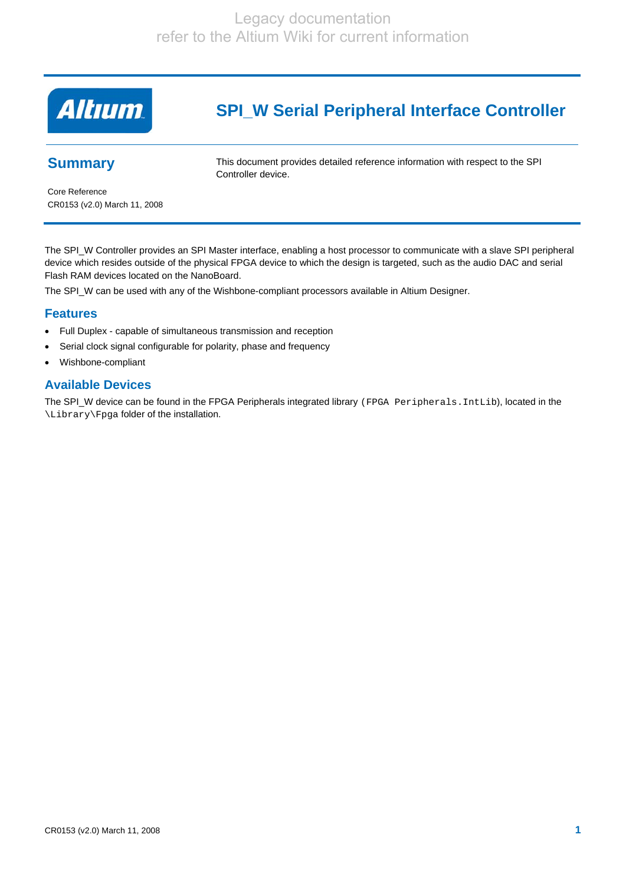

# **SPI\_W Serial Peripheral Interface Controller**

## **Summary**

This document provides detailed reference information with respect to the SPI Controller device.

Core Reference CR0153 (v2.0) March 11, 2008

The SPI\_W Controller provides an SPI Master interface, enabling a host processor to communicate with a slave SPI peripheral device which resides outside of the physical FPGA device to which the design is targeted, such as the audio DAC and serial Flash RAM devices located on the NanoBoard.

The SPI\_W can be used with any of the Wishbone-compliant processors available in Altium Designer.

#### **Features**

- Full Duplex capable of simultaneous transmission and reception
- Serial clock signal configurable for polarity, phase and frequency
- Wishbone-compliant

## **Available Devices**

The SPI\_W device can be found in the FPGA Peripherals integrated library (FPGA Peripherals.IntLib), located in the \Library\Fpga folder of the installation.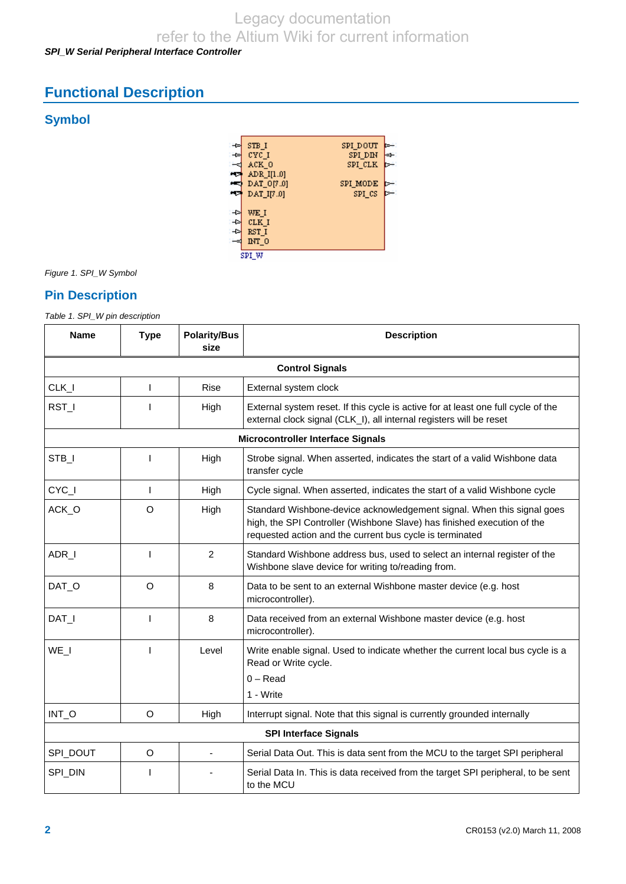# Legacy documentation

refer to the Altium Wiki for current information

## *SPI\_W Serial Peripheral Interface Controller*

# **Functional Description**

## **Symbol**



*Figure 1. SPI\_W Symbol* 

## **Pin Description**

*Table 1. SPI\_W pin description* 

| <b>Name</b> | <b>Type</b>            | <b>Polarity/Bus</b><br>size | <b>Description</b>                                                                                                                                                                                            |  |  |  |  |
|-------------|------------------------|-----------------------------|---------------------------------------------------------------------------------------------------------------------------------------------------------------------------------------------------------------|--|--|--|--|
|             | <b>Control Signals</b> |                             |                                                                                                                                                                                                               |  |  |  |  |
| CLK_I       | $\mathbf{I}$           | <b>Rise</b>                 | External system clock                                                                                                                                                                                         |  |  |  |  |
| RST_I       |                        | High                        | External system reset. If this cycle is active for at least one full cycle of the<br>external clock signal (CLK_I), all internal registers will be reset                                                      |  |  |  |  |
|             |                        |                             | <b>Microcontroller Interface Signals</b>                                                                                                                                                                      |  |  |  |  |
| STB_I       | L                      | High                        | Strobe signal. When asserted, indicates the start of a valid Wishbone data<br>transfer cycle                                                                                                                  |  |  |  |  |
| CYC_I       | T                      | High                        | Cycle signal. When asserted, indicates the start of a valid Wishbone cycle                                                                                                                                    |  |  |  |  |
| ACK_O       | O                      | High                        | Standard Wishbone-device acknowledgement signal. When this signal goes<br>high, the SPI Controller (Wishbone Slave) has finished execution of the<br>requested action and the current bus cycle is terminated |  |  |  |  |
| ADR_I       | T                      | $\overline{2}$              | Standard Wishbone address bus, used to select an internal register of the<br>Wishbone slave device for writing to/reading from.                                                                               |  |  |  |  |
| DAT O       | O                      | 8                           | Data to be sent to an external Wishbone master device (e.g. host<br>microcontroller).                                                                                                                         |  |  |  |  |
| DAT_I       | I                      | 8                           | Data received from an external Wishbone master device (e.g. host<br>microcontroller).                                                                                                                         |  |  |  |  |
| WE_I        | ı                      | Level                       | Write enable signal. Used to indicate whether the current local bus cycle is a<br>Read or Write cycle.                                                                                                        |  |  |  |  |
|             |                        |                             | $0 - Read$                                                                                                                                                                                                    |  |  |  |  |
|             |                        |                             | 1 - Write                                                                                                                                                                                                     |  |  |  |  |
| INT_O       | O                      | High                        | Interrupt signal. Note that this signal is currently grounded internally                                                                                                                                      |  |  |  |  |
|             |                        |                             | <b>SPI Interface Signals</b>                                                                                                                                                                                  |  |  |  |  |
| SPI_DOUT    | O                      |                             | Serial Data Out. This is data sent from the MCU to the target SPI peripheral                                                                                                                                  |  |  |  |  |
| SPI_DIN     |                        |                             | Serial Data In. This is data received from the target SPI peripheral, to be sent<br>to the MCU                                                                                                                |  |  |  |  |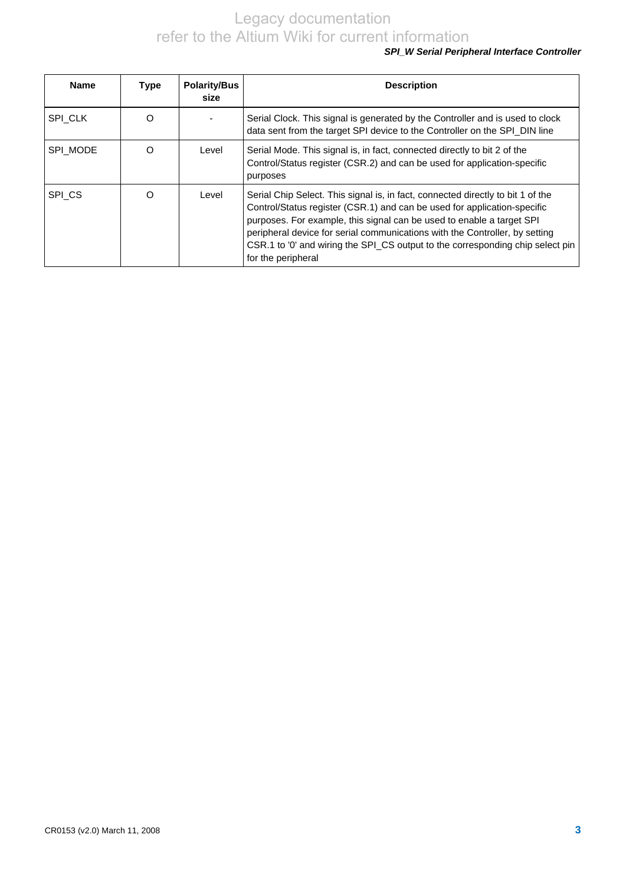## *SPI\_W Serial Peripheral Interface Controller*

| <b>Name</b> | <b>Type</b> | <b>Polarity/Bus</b><br>size | <b>Description</b>                                                                                                                                                                                                                                                                                                                                                                                                          |
|-------------|-------------|-----------------------------|-----------------------------------------------------------------------------------------------------------------------------------------------------------------------------------------------------------------------------------------------------------------------------------------------------------------------------------------------------------------------------------------------------------------------------|
| SPI CLK     | $\Omega$    |                             | Serial Clock. This signal is generated by the Controller and is used to clock<br>data sent from the target SPI device to the Controller on the SPI_DIN line                                                                                                                                                                                                                                                                 |
| SPI MODE    | ∩           | Level                       | Serial Mode. This signal is, in fact, connected directly to bit 2 of the<br>Control/Status register (CSR.2) and can be used for application-specific<br>purposes                                                                                                                                                                                                                                                            |
| SPI_CS      | ∩           | Level                       | Serial Chip Select. This signal is, in fact, connected directly to bit 1 of the<br>Control/Status register (CSR.1) and can be used for application-specific<br>purposes. For example, this signal can be used to enable a target SPI<br>peripheral device for serial communications with the Controller, by setting<br>CSR.1 to '0' and wiring the SPI_CS output to the corresponding chip select pin<br>for the peripheral |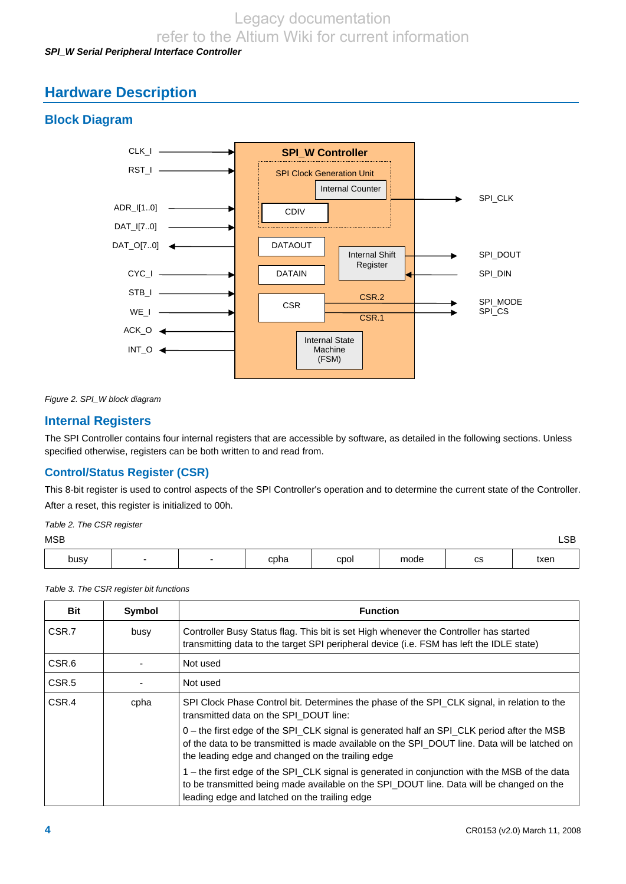# Legacy documentation

refer to the Altium Wiki for current information

## *SPI\_W Serial Peripheral Interface Controller*

## **Hardware Description**

## **Block Diagram**



*Figure 2. SPI\_W block diagram* 

## **Internal Registers**

The SPI Controller contains four internal registers that are accessible by software, as detailed in the following sections. Unless specified otherwise, registers can be both written to and read from.

## **Control/Status Register (CSR)**

This 8-bit register is used to control aspects of the SPI Controller's operation and to determine the current state of the Controller. After a reset, this register is initialized to 00h.

*Table 2. The CSR register* 

|  | I<br>×<br>٧ |
|--|-------------|
|--|-------------|

| MSB  |  |      |      |      |             | $\sim$<br>–ບ∟ |
|------|--|------|------|------|-------------|---------------|
| busy |  | cpha | cpol | mode | $\sim$<br>∾ | txen          |

*Table 3. The CSR register bit functions* 

| <b>Bit</b>        | Symbol | <b>Function</b>                                                                                                                                                                                                                                  |
|-------------------|--------|--------------------------------------------------------------------------------------------------------------------------------------------------------------------------------------------------------------------------------------------------|
| CSR.7             | busy   | Controller Busy Status flag. This bit is set High whenever the Controller has started<br>transmitting data to the target SPI peripheral device (i.e. FSM has left the IDLE state)                                                                |
| CSR.6             |        | Not used                                                                                                                                                                                                                                         |
| CSR <sub>.5</sub> |        | Not used                                                                                                                                                                                                                                         |
| CSR.4             | cpha   | SPI Clock Phase Control bit. Determines the phase of the SPI_CLK signal, in relation to the<br>transmitted data on the SPI DOUT line:                                                                                                            |
|                   |        | 0 - the first edge of the SPI_CLK signal is generated half an SPI_CLK period after the MSB<br>of the data to be transmitted is made available on the SPI_DOUT line. Data will be latched on<br>the leading edge and changed on the trailing edge |
|                   |        | 1 – the first edge of the SPI_CLK signal is generated in conjunction with the MSB of the data<br>to be transmitted being made available on the SPI_DOUT line. Data will be changed on the<br>leading edge and latched on the trailing edge       |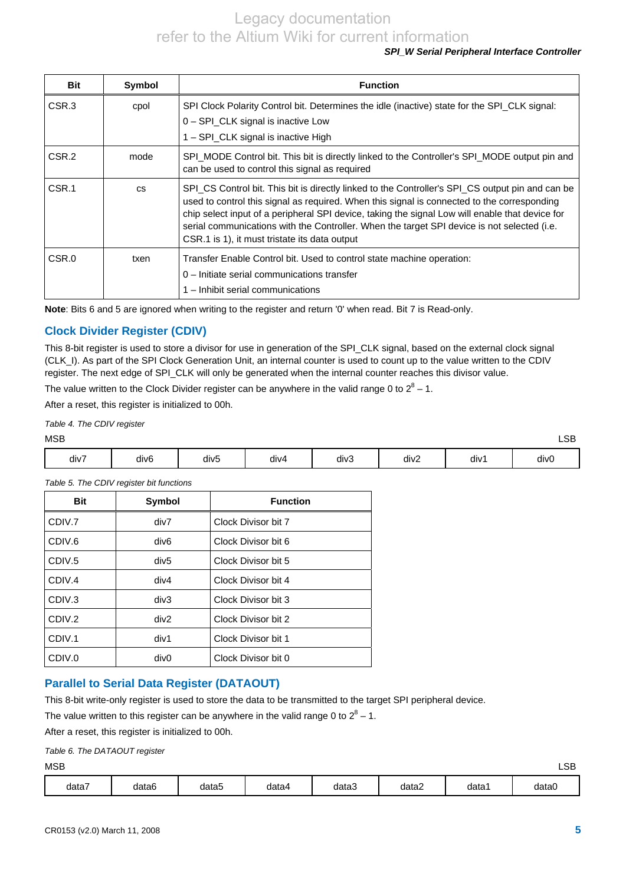## *SPI\_W Serial Peripheral Interface Controller*

| <b>Bit</b>       | Symbol    | <b>Function</b>                                                                                                                                                                                                                                                                                                                                                                                                                                    |
|------------------|-----------|----------------------------------------------------------------------------------------------------------------------------------------------------------------------------------------------------------------------------------------------------------------------------------------------------------------------------------------------------------------------------------------------------------------------------------------------------|
| CSR <sub>3</sub> | cpol      | SPI Clock Polarity Control bit. Determines the idle (inactive) state for the SPI_CLK signal:<br>0 - SPI_CLK signal is inactive Low<br>1 – SPI_CLK signal is inactive High                                                                                                                                                                                                                                                                          |
| CSR.2            | mode      | SPI MODE Control bit. This bit is directly linked to the Controller's SPI MODE output pin and<br>can be used to control this signal as required                                                                                                                                                                                                                                                                                                    |
| CSR.1            | <b>CS</b> | SPI CS Control bit. This bit is directly linked to the Controller's SPI CS output pin and can be<br>used to control this signal as required. When this signal is connected to the corresponding<br>chip select input of a peripheral SPI device, taking the signal Low will enable that device for<br>serial communications with the Controller. When the target SPI device is not selected (i.e.<br>CSR.1 is 1), it must tristate its data output |
| CSR.0            | txen      | Transfer Enable Control bit. Used to control state machine operation:<br>0 - Initiate serial communications transfer<br>1 - Inhibit serial communications                                                                                                                                                                                                                                                                                          |

**Note**: Bits 6 and 5 are ignored when writing to the register and return '0' when read. Bit 7 is Read-only.

## **Clock Divider Register (CDIV)**

This 8-bit register is used to store a divisor for use in generation of the SPI\_CLK signal, based on the external clock signal (CLK\_I). As part of the SPI Clock Generation Unit, an internal counter is used to count up to the value written to the CDIV register. The next edge of SPI\_CLK will only be generated when the internal counter reaches this divisor value.

The value written to the Clock Divider register can be anywhere in the valid range 0 to  $2^8$  – 1.

After a reset, this register is initialized to 00h.

*Table 4. The CDIV register* 

| ۰.<br>I<br>×<br>۰. |  |
|--------------------|--|
|--------------------|--|

| MSB  |                  |                  |      |      |      |      | LSB  |
|------|------------------|------------------|------|------|------|------|------|
| div7 | div <sub>6</sub> | div <sub>5</sub> | div4 | div3 | div2 | div1 | div0 |

| <b>Bit</b> | <b>Symbol</b>    | <b>Function</b>     |
|------------|------------------|---------------------|
| CDIV.7     | div7             | Clock Divisor bit 7 |
| CDIV.6     | div <sub>6</sub> | Clock Divisor bit 6 |
| CDIV.5     | div <sub>5</sub> | Clock Divisor bit 5 |
| CDIV.4     | div4             | Clock Divisor bit 4 |
| CDIV.3     | div3             | Clock Divisor bit 3 |
| CDIV.2     | div2             | Clock Divisor bit 2 |
| CDIV.1     | div1             | Clock Divisor bit 1 |
| CDIV.0     | div <sub>0</sub> | Clock Divisor bit 0 |

*Table 5. The CDIV register bit functions* 

## **Parallel to Serial Data Register (DATAOUT)**

This 8-bit write-only register is used to store the data to be transmitted to the target SPI peripheral device.

The value written to this register can be anywhere in the valid range 0 to  $2^8$  – 1.

After a reset, this register is initialized to 00h.

which is a set of the set of the set of the set of the set of the set of the set of the set of the set of the set of the set of the set of the set of the set of the set of the set of the set of the set of the set of the se

| data | data6 | data5 | data4 | data3 | data2 | data' | dataC |
|------|-------|-------|-------|-------|-------|-------|-------|
|      |       |       |       |       |       |       |       |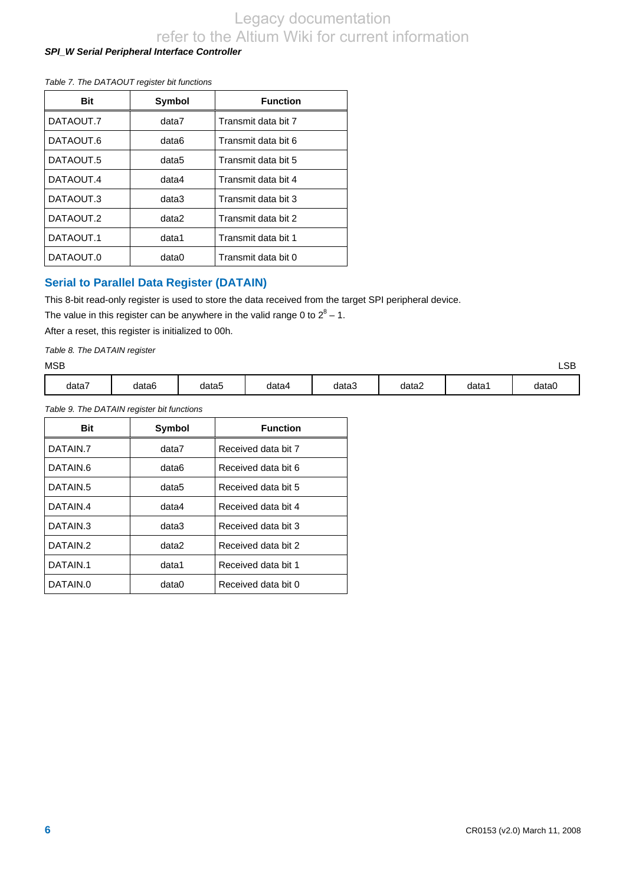## *SPI\_W Serial Peripheral Interface Controller*

#### *Table 7. The DATAOUT register bit functions*

| Bit       | Symbol | <b>Function</b>     |
|-----------|--------|---------------------|
| DATAOUT.7 | data7  | Transmit data bit 7 |
| DATAOUT.6 | data6  | Transmit data bit 6 |
| DATAOUT.5 | data5  | Transmit data bit 5 |
| DATAOUT.4 | data4  | Transmit data bit 4 |
| DATAOUT.3 | data3  | Transmit data bit 3 |
| DATAOUT.2 | data2  | Transmit data bit 2 |
| DATAOUT.1 | data1  | Transmit data bit 1 |
| DATAOUT.0 | data0  | Transmit data bit 0 |

## **Serial to Parallel Data Register (DATAIN)**

This 8-bit read-only register is used to store the data received from the target SPI peripheral device.

The value in this register can be anywhere in the valid range 0 to  $2^8$  – 1.

After a reset, this register is initialized to 00h.

*Table 8. The DATAIN register* 

| <b>MSB</b>                        |       |            |       |       |       |       | $\cap$<br>⊐כ∟ |
|-----------------------------------|-------|------------|-------|-------|-------|-------|---------------|
| $\overline{\phantom{a}}$<br>data7 | data6 | -<br>data5 | data4 | data3 | data2 | data1 | data0         |

*Table 9. The DATAIN register bit functions* 

| <b>Bit</b>           | Symbol | <b>Function</b>     |
|----------------------|--------|---------------------|
| DATAIN.7             | data7  | Received data bit 7 |
| DATAIN.6             | data6  | Received data bit 6 |
| DATAIN.5             | data5  | Received data bit 5 |
| DATAIN.4             | data4  | Received data bit 4 |
| DATAIN.3             | data3  | Received data bit 3 |
| DATAIN <sub>2</sub>  | data2  | Received data bit 2 |
| DATAIN <sub>.1</sub> | data1  | Received data bit 1 |
| DATAIN.0             | data0  | Received data bit 0 |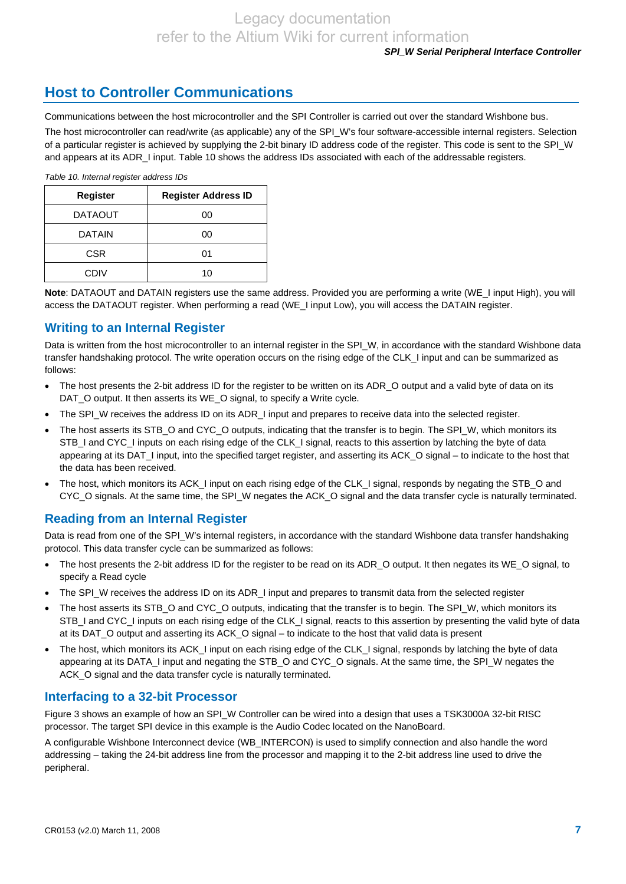# **Host to Controller Communications**

Communications between the host microcontroller and the SPI Controller is carried out over the standard Wishbone bus.

The host microcontroller can read/write (as applicable) any of the SPI\_W's four software-accessible internal registers. Selection of a particular register is achieved by supplying the 2-bit binary ID address code of the register. This code is sent to the SPI\_W and appears at its ADR\_I input. [Table 10](#page-6-0) shows the address IDs associated with each of the addressable registers.

*Table 10. Internal register address IDs* 

<span id="page-6-0"></span>

| <b>Register</b> | <b>Register Address ID</b> |
|-----------------|----------------------------|
| <b>DATAOUT</b>  | 00                         |
| <b>DATAIN</b>   | 00                         |
| <b>CSR</b>      | 01                         |
| CDIV            | 10                         |

**Note**: DATAOUT and DATAIN registers use the same address. Provided you are performing a write (WE\_I input High), you will access the DATAOUT register. When performing a read (WE I input Low), you will access the DATAIN register.

## **Writing to an Internal Register**

Data is written from the host microcontroller to an internal register in the SPI\_W, in accordance with the standard Wishbone data transfer handshaking protocol. The write operation occurs on the rising edge of the CLK\_I input and can be summarized as follows:

- The host presents the 2-bit address ID for the register to be written on its ADR\_O output and a valid byte of data on its DAT\_O output. It then asserts its WE\_O signal, to specify a Write cycle.
- The SPI\_W receives the address ID on its ADR\_I input and prepares to receive data into the selected register.
- The host asserts its STB\_O and CYC\_O outputs, indicating that the transfer is to begin. The SPI\_W, which monitors its STB\_I and CYC\_I inputs on each rising edge of the CLK\_I signal, reacts to this assertion by latching the byte of data appearing at its DAT\_I input, into the specified target register, and asserting its ACK\_O signal – to indicate to the host that the data has been received.
- The host, which monitors its ACK\_I input on each rising edge of the CLK\_I signal, responds by negating the STB\_O and CYC\_O signals. At the same time, the SPI\_W negates the ACK\_O signal and the data transfer cycle is naturally terminated.

## **Reading from an Internal Register**

Data is read from one of the SPI\_W's internal registers, in accordance with the standard Wishbone data transfer handshaking protocol. This data transfer cycle can be summarized as follows:

- The host presents the 2-bit address ID for the register to be read on its ADR\_O output. It then negates its WE\_O signal, to specify a Read cycle
- The SPI\_W receives the address ID on its ADR\_I input and prepares to transmit data from the selected register
- The host asserts its STB\_O and CYC\_O outputs, indicating that the transfer is to begin. The SPI\_W, which monitors its STB\_I and CYC\_I inputs on each rising edge of the CLK\_I signal, reacts to this assertion by presenting the valid byte of data at its DAT\_O output and asserting its ACK\_O signal – to indicate to the host that valid data is present
- The host, which monitors its ACK\_I input on each rising edge of the CLK\_I signal, responds by latching the byte of data appearing at its DATA. I input and negating the STB. O and CYC. O signals. At the same time, the SPI. W negates the ACK\_O signal and the data transfer cycle is naturally terminated.

## **Interfacing to a 32-bit Processor**

Figure 3 shows an example of how an SPI\_W Controller can be wired into a design that uses a TSK3000A 32-bit RISC processor. The target SPI device in this example is the Audio Codec located on the NanoBoard.

A configurable Wishbone Interconnect device (WB\_INTERCON) is used to simplify connection and also handle the word addressing – taking the 24-bit address line from the processor and mapping it to the 2-bit address line used to drive the peripheral.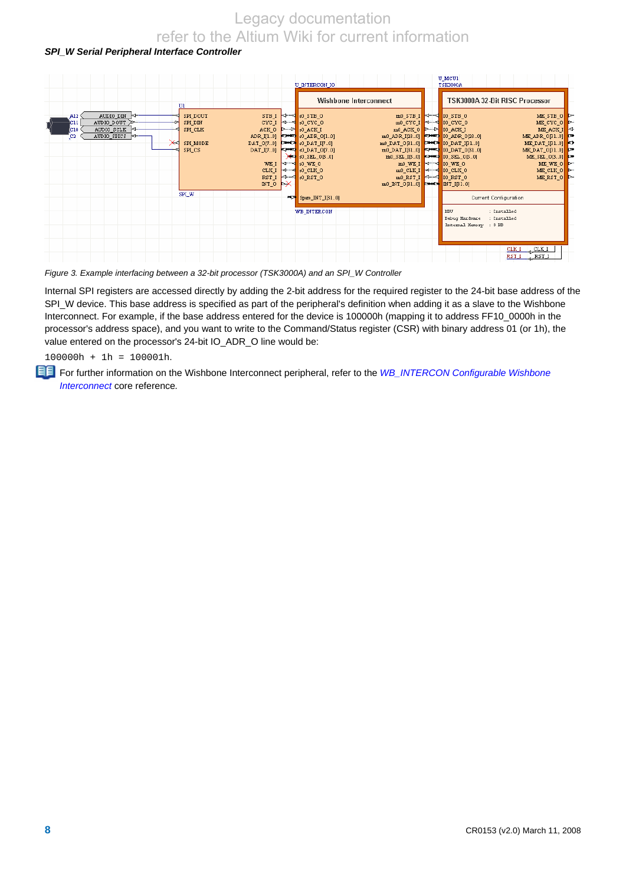## *SPI\_W Serial Peripheral Interface Controller*



*Figure 3. Example interfacing between a 32-bit processor (TSK3000A) and an SPI\_W Controller* 

Internal SPI registers are accessed directly by adding the 2-bit address for the required register to the 24-bit base address of the SPI\_W device. This base address is specified as part of the peripheral's definition when adding it as a slave to the Wishbone Interconnect. For example, if the base address entered for the device is 100000h (mapping it to address FF10\_0000h in the processor's address space), and you want to write to the Command/Status register (CSR) with binary address 01 (or 1h), the value entered on the processor's 24-bit IO ADR\_O line would be:

100000h + 1h = 100001h.

For further information on the Wishbone Interconnect peripheral, refer to the *WB\_INTERCON Configurable Wishbone Interconnect* core reference*.*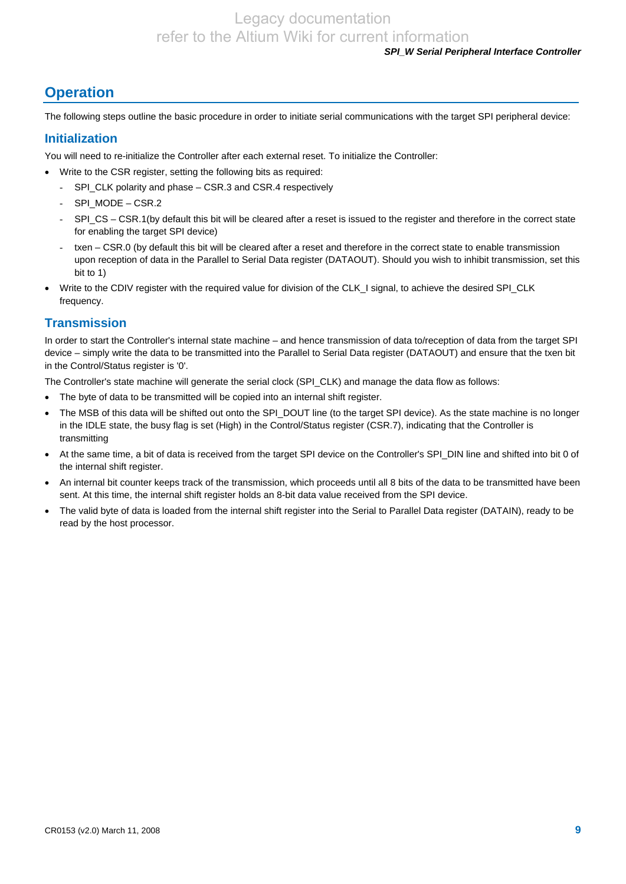### *SPI\_W Serial Peripheral Interface Controller*

# **Operation**

The following steps outline the basic procedure in order to initiate serial communications with the target SPI peripheral device:

## **Initialization**

You will need to re-initialize the Controller after each external reset. To initialize the Controller:

- Write to the CSR register, setting the following bits as required:
	- SPI\_CLK polarity and phase CSR.3 and CSR.4 respectively
	- SPI\_MODE CSR.2
	- SPI\_CS CSR.1(by default this bit will be cleared after a reset is issued to the register and therefore in the correct state for enabling the target SPI device)
	- txen CSR.0 (by default this bit will be cleared after a reset and therefore in the correct state to enable transmission upon reception of data in the Parallel to Serial Data register (DATAOUT). Should you wish to inhibit transmission, set this bit to 1)
- Write to the CDIV register with the required value for division of the CLK\_I signal, to achieve the desired SPI\_CLK frequency.

## **Transmission**

In order to start the Controller's internal state machine – and hence transmission of data to/reception of data from the target SPI device – simply write the data to be transmitted into the Parallel to Serial Data register (DATAOUT) and ensure that the txen bit in the Control/Status register is '0'.

The Controller's state machine will generate the serial clock (SPI\_CLK) and manage the data flow as follows:

- The byte of data to be transmitted will be copied into an internal shift register.
- The MSB of this data will be shifted out onto the SPI\_DOUT line (to the target SPI device). As the state machine is no longer in the IDLE state, the busy flag is set (High) in the Control/Status register (CSR.7), indicating that the Controller is transmitting
- At the same time, a bit of data is received from the target SPI device on the Controller's SPI\_DIN line and shifted into bit 0 of the internal shift register.
- An internal bit counter keeps track of the transmission, which proceeds until all 8 bits of the data to be transmitted have been sent. At this time, the internal shift register holds an 8-bit data value received from the SPI device.
- The valid byte of data is loaded from the internal shift register into the Serial to Parallel Data register (DATAIN), ready to be read by the host processor.